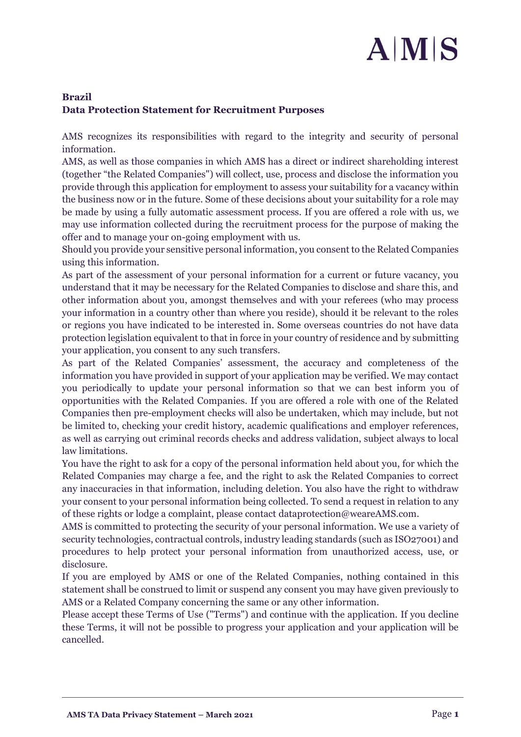## $A|M|S$

## **Brazil Data Protection Statement for Recruitment Purposes**

AMS recognizes its responsibilities with regard to the integrity and security of personal information.

AMS, as well as those companies in which AMS has a direct or indirect shareholding interest (together "the Related Companies") will collect, use, process and disclose the information you provide through this application for employment to assess your suitability for a vacancy within the business now or in the future. Some of these decisions about your suitability for a role may be made by using a fully automatic assessment process. If you are offered a role with us, we may use information collected during the recruitment process for the purpose of making the offer and to manage your on-going employment with us.

Should you provide your sensitive personal information, you consent to the Related Companies using this information.

As part of the assessment of your personal information for a current or future vacancy, you understand that it may be necessary for the Related Companies to disclose and share this, and other information about you, amongst themselves and with your referees (who may process your information in a country other than where you reside), should it be relevant to the roles or regions you have indicated to be interested in. Some overseas countries do not have data protection legislation equivalent to that in force in your country of residence and by submitting your application, you consent to any such transfers.

As part of the Related Companies' assessment, the accuracy and completeness of the information you have provided in support of your application may be verified. We may contact you periodically to update your personal information so that we can best inform you of opportunities with the Related Companies. If you are offered a role with one of the Related Companies then pre-employment checks will also be undertaken, which may include, but not be limited to, checking your credit history, academic qualifications and employer references, as well as carrying out criminal records checks and address validation, subject always to local law limitations.

You have the right to ask for a copy of the personal information held about you, for which the Related Companies may charge a fee, and the right to ask the Related Companies to correct any inaccuracies in that information, including deletion. You also have the right to withdraw your consent to your personal information being collected. To send a request in relation to any of these rights or lodge a complaint, please contact dataprotection@weareAMS.com.

AMS is committed to protecting the security of your personal information. We use a variety of security technologies, contractual controls, industry leading standards (such as ISO27001) and procedures to help protect your personal information from unauthorized access, use, or disclosure.

If you are employed by AMS or one of the Related Companies, nothing contained in this statement shall be construed to limit or suspend any consent you may have given previously to AMS or a Related Company concerning the same or any other information.

Please accept these Terms of Use ("Terms") and continue with the application. If you decline these Terms, it will not be possible to progress your application and your application will be cancelled.